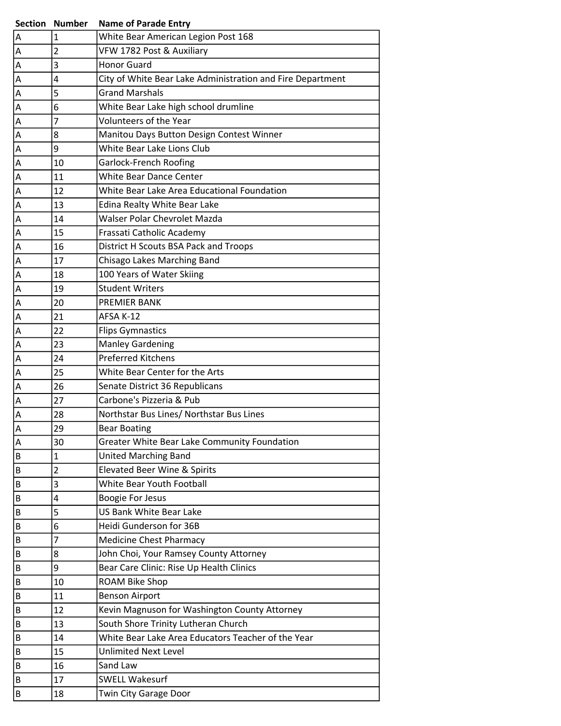|   | <b>Section Number</b> | <b>Name of Parade Entry</b>                                |
|---|-----------------------|------------------------------------------------------------|
| А | $\mathbf{1}$          | White Bear American Legion Post 168                        |
| Α | $\overline{2}$        | VFW 1782 Post & Auxiliary                                  |
| А | 3                     | <b>Honor Guard</b>                                         |
| Α | 4                     | City of White Bear Lake Administration and Fire Department |
| А | 5                     | <b>Grand Marshals</b>                                      |
| Α | 6                     | White Bear Lake high school drumline                       |
| А | 7                     | Volunteers of the Year                                     |
| А | 8                     | Manitou Days Button Design Contest Winner                  |
| Α | 9                     | White Bear Lake Lions Club                                 |
| A | 10                    | <b>Garlock-French Roofing</b>                              |
| Α | 11                    | White Bear Dance Center                                    |
| Α | 12                    | White Bear Lake Area Educational Foundation                |
| Α | 13                    | Edina Realty White Bear Lake                               |
| А | 14                    | Walser Polar Chevrolet Mazda                               |
| Α | 15                    | Frassati Catholic Academy                                  |
| Α | 16                    | District H Scouts BSA Pack and Troops                      |
| Α | 17                    | Chisago Lakes Marching Band                                |
| А | 18                    | 100 Years of Water Skiing                                  |
| А | 19                    | <b>Student Writers</b>                                     |
| Α | 20                    | PREMIER BANK                                               |
| А | 21                    | AFSA K-12                                                  |
| Α | 22                    | <b>Flips Gymnastics</b>                                    |
| Α | 23                    | <b>Manley Gardening</b>                                    |
| А | 24                    | <b>Preferred Kitchens</b>                                  |
| A | 25                    | White Bear Center for the Arts                             |
| Α | 26                    | Senate District 36 Republicans                             |
| А | 27                    | Carbone's Pizzeria & Pub                                   |
| Α | 28                    | Northstar Bus Lines/ Northstar Bus Lines                   |
| Α | 29                    | <b>Bear Boating</b>                                        |
| А | 30                    | Greater White Bear Lake Community Foundation               |
| B | $\mathbf{1}$          | <b>United Marching Band</b>                                |
| B | 2                     | Elevated Beer Wine & Spirits                               |
| B | 3                     | White Bear Youth Football                                  |
| В | 4                     | <b>Boogie For Jesus</b>                                    |
| B | 5                     | <b>US Bank White Bear Lake</b>                             |
| B | 6                     | Heidi Gunderson for 36B                                    |
| B | $\overline{7}$        | <b>Medicine Chest Pharmacy</b>                             |
| В | 8                     | John Choi, Your Ramsey County Attorney                     |
| В | 9                     | Bear Care Clinic: Rise Up Health Clinics                   |
| B | 10                    | ROAM Bike Shop                                             |
| В | 11                    | <b>Benson Airport</b>                                      |
| B | 12                    | Kevin Magnuson for Washington County Attorney              |
| B | 13                    | South Shore Trinity Lutheran Church                        |
| B | 14                    | White Bear Lake Area Educators Teacher of the Year         |
| B | 15                    | <b>Unlimited Next Level</b>                                |
| B | 16                    | Sand Law                                                   |
| B | 17                    | <b>SWELL Wakesurf</b>                                      |
| B | 18                    | Twin City Garage Door                                      |